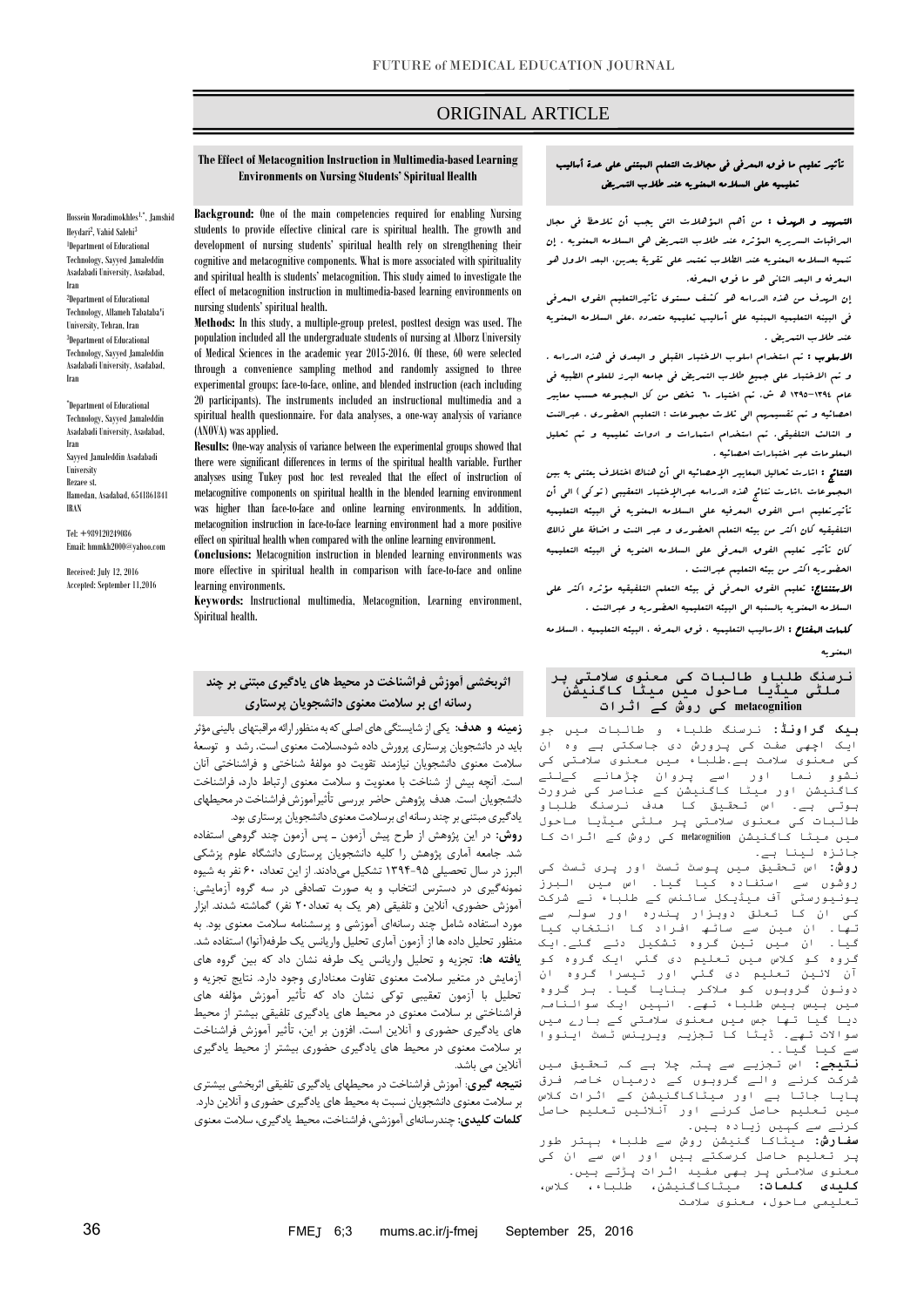## ORIGINAL ARTICLE

#### **The Effect of Metacognition Instruction in Multimedia-based Learning Environments on Nursing Students' Spiritual Health**

Hossein Moradimokhles1,\* , Jamshid Heydari<sup>2</sup>, Vahid Salehi<sup>3</sup> 1 Department of Educational Technology, Sayyed Jamaleddin Asadabadi University, Asadabad, Iran

2 Department of Educational Technology, Allameh Tabataba'i University, Tehran, Iran 3 Department of Educational Technology, Sayyed Jamaleddin Asadabadi University, Asadabad, Iran

\* Department of Educational Technology, Sayyed Jamaleddin Asadabadi University, Asadabad, Iran Sayyed Jamaleddin Asadabadi University Rezaee st. Hamedan, Asadabad, 6541861841 IRAN

Tel: +989120249086 Email: hmmkh2000@yahoo.com

Received: July 12, 2016 Accepted: September 11,2016

**Background:** One of the main competencies required for enabling Nursing students to provide effective clinical care is spiritual health. The growth and development of nursing students' spiritual health rely on strengthening their cognitive and metacognitive components. What is more associated with spirituality and spiritual health is students' metacognition. This study aimed to investigate the effect of metacognition instruction in multimedia-based learning environments on nursing students' spiritual health.

**Methods:** In this study, a multiple-group pretest, posttest design was used. The population included all the undergraduate students of nursing at Alborz University of Medical Sciences in the academic year 2015-2016. Of these, 60 were selected through a convenience sampling method and randomly assigned to three experimental groups: face-to-face, online, and blended instruction (each including 20 participants). The instruments included an instructional multimedia and a spiritual health questionnaire. For data analyses, a one-way analysis of variance (ANOVA) was applied.

**Results:** One-way analysis of variance between the experimental groups showed that there were significant differences in terms of the spiritual health variable. Further analyses using Tukey post hoc test revealed that the effect of instruction of metacognitive components on spiritual health in the blended learning environment was higher than face-to-face and online learning environments. In addition, metacognition instruction in face-to-face learning environment had a more positive effect on spiritual health when compared with the online learning environment.

**Conclusions:** Metacognition instruction in blended learning environments was more effective in spiritual health in comparison with face-to-face and online learning environments.

**Keywords:** Instructional multimedia, Metacognition, Learning environment, Spiritual health.

# **اثربخشی آموزش فراشناخت در محیط های یادگیری مبتنی بر چند رسانه ای بر سالمت معنوی دانشجویان پرستاری**

<mark>زمینه و هدف:</mark> یکی از شایستگی های اصلی که به منظور ارائه مراقبتهای بالینی مؤثر باید در دانشجویان پرستاری پرورش داده شود،سالمت معنوی است. رشد و توسعة سالمت معنوی دانشجویان نیازمند تقویت دو مولفة شناختی و فراشناختی آنان است. آنچه بیش از شناخت با معنویت و سالمت معنوی ارتباط دارد، فراشناخت دانشجویان است. هدف پژوهش حاضر بررسی تأثیرآموزش فراشناخت در محیطهای یادگیری مبتنی بر چند رسانه ای برسلامت معنوی دانشجویان پرستاری بود.

**روش:** در این پژوهش از طرح پیش آزمون ـ پس آزمون چند گروهی استفاده شد. جامعه آماری پژوهش را کلیه دانشجویان پرستاری دانشگاه علوم پزشکی البرز در سال تحصیلی 4951-59 تشکیل میدادند. از این تعداد، 06 نفر به شیوه نمونهگیری در دسترس انتخاب و به صورت تصادفی در سه گروه آزمایشی: آموزش حضوری، آنالین و تلفیقی )هر یک به تعداد06 نفر( گماشته شدند. ابزار مورد استفاده شامل چند رسانهای آموزشی و پرسشنامه سالمت معنوی بود. به منظور تحلیل داده ها از آزمون آماری تحلیل واریانس یک طرفه)آنوا( استفاده شد. **یافته ها:** تجزیه و تحلیل واریانس یک طرفه نشان داد که بین گروه های آزمایش در متغیر سالمت معنوی تفاوت معناداری وجود دارد. نتایج تجزیه و تحلیل با آزمون تعقیبی توکی نشان داد که تأثیر آموزش مؤلفه های فراشناختی بر سالمت معنوی در محیط های یادگیری تلفیقی بیشتر از محیط های یادگیری حضوری و آنالین است. افزون بر این، تأثیر آموزش فراشناخت بر سالمت معنوی در محیط های یادگیری حضوری بیشتر از محیط یادگیری آنالین می باشد.

**نتیجه گیری**: آموزش فراشناخت در محیطهای یادگیری تلفیقی اثربخشی بیشتری بر سالمت معنوی دانشجویان نسبت به محیط های یادگیری حضوری و آنالین دارد. **کلمات کلیدی:** چندرسانهای آموزشی، فراشناخت، محیط یادگیری، سالمت معنوی

## تأثیر تعلیم ما فوق المعرفی فی مجاالت التعلم المبتنی علی عدة أسالیب تعلیمیه علی السالمه المعنویه عند طالب التمریض

ص

التمهید و الهدف : من أهم المؤهالت التی یجب أن تالحظ فی مجال المراقبات السریریه المؤثره عند طالب التمریض هی السالمه المعنویه . إن تنمیه السالمه المعنویه عند الطالب تعتمد علی تقویة بعدین، البعد االول هو المعرفه و البعد الثانی هو ما فوق المعرفه.

إن الهدف من هذه الدراسه هو کشف مستوی تأثیرالتعلیم الفوق المعرفی فی البینه التعلیمیه المبنیه علی أسالیب تعلیمیه متعدده ،علی السالمه المعنویه عند طالب التمریض .

الل**سلوب :** تم استخدام اسلوب الاختبار القبلی و البعدی ف<sub>ی</sub> هذه الدراسه . و تم االختبار علی جمیع طالب التمریض فی جامعه البرز للعلوم الطبیه فی عام 4931-4931 هدش. تم اختیار 06 شخص من کل المجموعه حسب معاییر احصائیه و تم تقسیمهم الی ثالث مجموعات : التعلیم الحضوری ، عبرالنت و الثالث التلفیقی. تم استخدام استمارات و ادوات تعلیمیه و تم تحلیل المعلومات عبر اختبارات احصائیه .

الن<del>ت</del>ائ<sub>ة</sub> : اشارت تحالیل الیعاییر الإحصائیه ال<sub>ی</sub> أن هناك اختلاف یعتنی به بین البجهوعات .اشارت نتائج هذه الدراسه عبرالإختبار التعقیبی ( توکی ) الی أن تأثیرتعلیم اسس الفوق المعرفیه علی السالمه المعنویه فی البیئه التعلیمیه التلفیقیه کان اکثر من بیئه التعلم الحضوری و عبر النت و اضافة علی ذالک کان تأثیر تعلیم الفوق المعرفی علی السالمه العنویه فی البیئه التعلیمیه الحضوریه اکثر من بیئه التعلیم عبرالنت .

االستنتاج: تعلیم الفوق المعرفی فی بیئه التعلم التلفیقیه مؤثره اکثر علی السالمه المعنویه بالسنبه الی البیئه التعلیمیه الحضوریه و عبرالنت .

کلمات المفتاح : االسالیب التعلیمیه ، فوق المعرفه ، البیئه التعلیمیه ، السالمه المعنویه

#### **نرسنگ طلباو طالبات کی معنوی سالمتی پر ملٹی میڈیا ماحول میں میٹا کاگنیشن metacognition کی روش کے اثرات**

**بیک گراونڈ:** نرسنگ طلباء و طالبات میں جو ایک اچھی صفت کی پرورش دی جاسکتی ہے وہ ان کی معنوی سالمت ہے۔طلباء میں معنوی سالمتی کی نشوو نما اور اسے پروان چڑھانے کےلئے کاگنیشن اور میٹا کاگنیشن کے عناصر کی ضرورت ہوتی ہے۔ اس تحقیق کا ھدف نرسنگ طلباو طالبات کی معنوی سالمتی پر ملٹی میڈیا ماحول میں میٹا کاگنیشن metacognition کی روش کے اثرات کا جائزہ لینا ہے۔

**روش:** اس تحقیق میں پوسٹ ٹسٹ اور پری ٹسٹ کی روشوں سے استفادہ کیا گیا۔ اس میں البرز یونیورسٹی آف میڈیکل سائنس کے طلباء نے شرکت کی ان کا تعلق دوہزار پندرہ اور سولہ سے تھا۔ ان مین سے ساٹھ افراد کا انتخاب کیا گیا۔ ان میں تین گروہ تشکیل دئے گئے۔ایک گروہ کو کالس میں تعلیم دی گئي ایک گروہ کو آن الئین تعلیم دی گئي اور تیسرا گروہ ان دونون گروہوں کو مالکر بنایا گیا۔ ہر گروہ میں بیس بیس طلباء تھے۔ انہیں ایک سوالنامہ دیا گیا تھا جس میں معنوی سالمتی کے بارے میں سواالت تھے۔ ڈیٹا کا تجزیہ ویرینس ٹسٹ اینووا سے کیا گیا۔۔

**نتیجے:** اس تجزیے سے پتہ چال ہے کہ تحقیق میں شرکت کرنے والے گروہوں کے درمیاں خاصہ فرق پایا جاتا ہے اور میٹاکاگنیشن کے اثرات کالس میں تعلیم حاصل کرنے اور آنالئیں تعلیم حاصل کرنے سے کہیں زیادہ ہیں۔

**سفارش:** میٹاکا گنیشن روش سے طلباء بہتر طور پر تعلیم حاصل کرسکتے ہیں اور اس سے ان کی معنوی سالمتی پر بھی مفید اثرات پڑتے ہیں۔ **کلیدی کلمات:** میٹاکاگنیشن، طلباء، کالس، تعلیمی ماحول، معنوی سالمت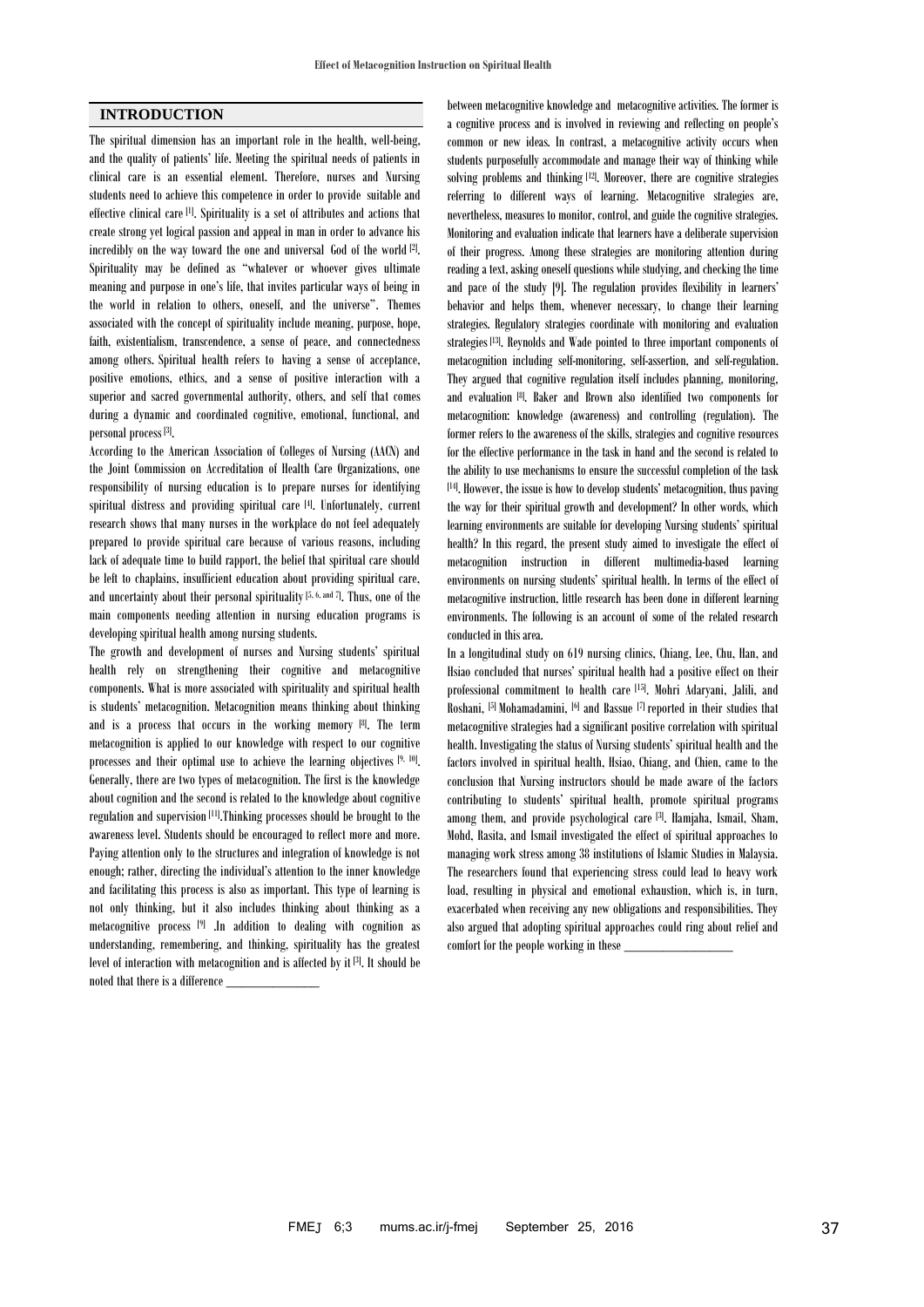## **INTRODUCTION**

The spiritual dimension has an important role in the health, well-being, and the quality of patients' life. Meeting the spiritual needs of patients in clinical care is an essential element. Therefore, nurses and Nursing students need to achieve this competence in order to provide suitable and effective clinical care [1]. Spirituality is a set of attributes and actions that create strong yet logical passion and appeal in man in order to advance his incredibly on the way toward the one and universal God of the world [2]. . Spirituality may be defined as "whatever or whoever gives ultimate meaning and purpose in one's life, that invites particular ways of being in the world in relation to others, oneself, and the universe". Themes associated with the concept of spirituality include meaning, purpose, hope, faith, existentialism, transcendence, a sense of peace, and connectedness among others. Spiritual health refers to having a sense of acceptance, positive emotions, ethics, and a sense of positive interaction with a superior and sacred governmental authority, others, and self that comes during a dynamic and coordinated cognitive, emotional, functional, and personal process [3] .

According to the American Association of Colleges of Nursing (AACN) and the Joint Commission on Accreditation of Health Care Organizations, one responsibility of nursing education is to prepare nurses for identifying spiritual distress and providing spiritual care [4]. Unfortunately, current research shows that many nurses in the workplace do not feel adequately prepared to provide spiritual care because of various reasons, including lack of adequate time to build rapport, the belief that spiritual care should be left to chaplains, insufficient education about providing spiritual care, and uncertainty about their personal spirituality  $[5, 6, \text{ and } 7]$ . Thus, one of the main components needing attention in nursing education programs is developing spiritual health among nursing students.

The growth and development of nurses and Nursing students' spiritual health rely on strengthening their cognitive and metacognitive components. What is more associated with spirituality and spiritual health is students' metacognition. Metacognition means thinking about thinking and is a process that occurs in the working memory [8]. The term metacognition is applied to our knowledge with respect to our cognitive processes and their optimal use to achieve the learning objectives [9, 10]. Generally, there are two types of metacognition. The first is the knowledge about cognition and the second is related to the knowledge about cognitive regulation and supervision<sup>[11]</sup>.Thinking processes should be brought to the awareness level. Students should be encouraged to reflect more and more. Paying attention only to the structures and integration of knowledge is not enough; rather, directing the individual's attention to the inner knowledge and facilitating this process is also as important. This type of learning is not only thinking, but it also includes thinking about thinking as a metacognitive process [9] .In addition to dealing with cognition as understanding, remembering, and thinking, spirituality has the greatest level of interaction with metacognition and is affected by it [3]. It should be noted that there is a difference \_\_\_\_\_\_\_\_\_\_\_\_

between metacognitive knowledge and metacognitive activities. The former is a cognitive process and is involved in reviewing and reflecting on people's common or new ideas. In contrast, a metacognitive activity occurs when students purposefully accommodate and manage their way of thinking while solving problems and thinking [12]. Moreover, there are cognitive strategies referring to different ways of learning. Metacognitive strategies are, nevertheless, measures to monitor, control, and guide the cognitive strategies. Monitoring and evaluation indicate that learners have a deliberate supervision of their progress. Among these strategies are monitoring attention during reading a text, asking oneself questions while studying, and checking the time and pace of the study [9]. The regulation provides flexibility in learners' behavior and helps them, whenever necessary, to change their learning strategies. Regulatory strategies coordinate with monitoring and evaluation strategies [13]. Reynolds and Wade pointed to three important components of metacognition including self-monitoring, self-assertion, and self-regulation. They argued that cognitive regulation itself includes planning, monitoring, and evaluation [8]. Baker and Brown also identified two components for metacognition: knowledge (awareness) and controlling (regulation). The former refers to the awareness of the skills, strategies and cognitive resources for the effective performance in the task in hand and the second is related to the ability to use mechanisms to ensure the successful completion of the task [14]. However, the issue is how to develop students' metacognition, thus paving the way for their spiritual growth and development? In other words, which learning environments are suitable for developing Nursing students' spiritual health? In this regard, the present study aimed to investigate the effect of metacognition instruction in different multimedia-based learning environments on nursing students' spiritual health. In terms of the effect of metacognitive instruction, little research has been done in different learning environments. The following is an account of some of the related research conducted in this area.

In a longitudinal study on 619 nursing clinics, Chiang, Lee, Chu, Han, and Hsiao concluded that nurses' spiritual health had a positive effect on their professional commitment to health care [15]. Mohri Adaryani, Jalili, and Roshani, [5] Mohamadamini, [6] and Bassue [7] reported in their studies that metacognitive strategies had a significant positive correlation with spiritual health. Investigating the status of Nursing students' spiritual health and the factors involved in spiritual health, Hsiao, Chiang, and Chien, came to the conclusion that Nursing instructors should be made aware of the factors contributing to students' spiritual health, promote spiritual programs among them, and provide psychological care [3]. Hamjaha, Ismail, Sham, Mohd, Rasita, and Ismail investigated the effect of spiritual approaches to managing work stress among 38 institutions of Islamic Studies in Malaysia. The researchers found that experiencing stress could lead to heavy work load, resulting in physical and emotional exhaustion, which is, in turn, exacerbated when receiving any new obligations and responsibilities. They also argued that adopting spiritual approaches could ring about relief and comfort for the people working in these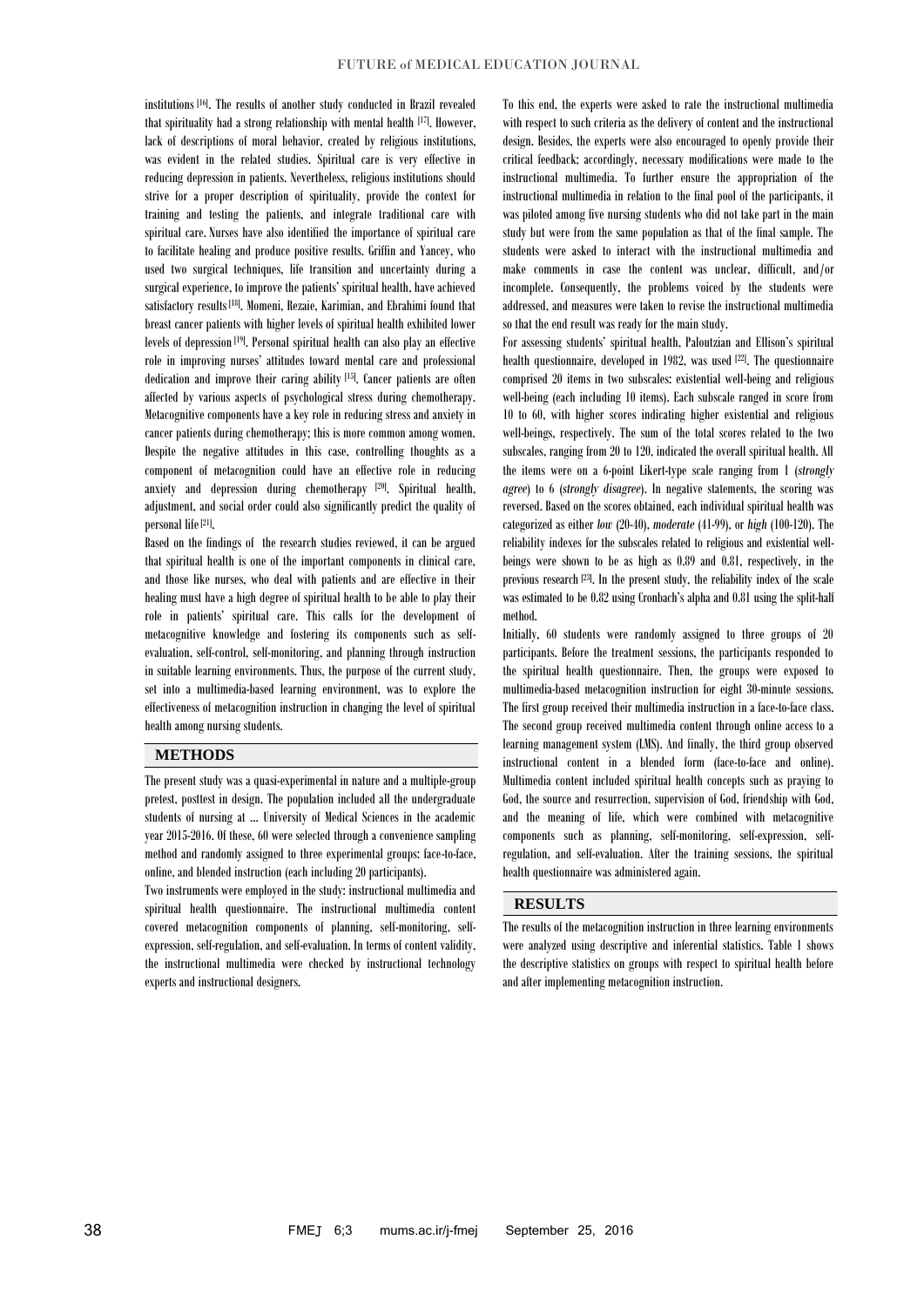institutions [16]. The results of another study conducted in Brazil revealed that spirituality had a strong relationship with mental health [17]. However, lack of descriptions of moral behavior, created by religious institutions, was evident in the related studies. Spiritual care is very effective in reducing depression in patients. Nevertheless, religious institutions should strive for a proper description of spirituality, provide the context for training and testing the patients, and integrate traditional care with spiritual care. Nurses have also identified the importance of spiritual care to facilitate healing and produce positive results. Griffin and Yancey, who used two surgical techniques, life transition and uncertainty during a surgical experience, to improve the patients' spiritual health, have achieved satisfactory results [18]. Momeni, Rezaie, Karimian, and Ebrahimi found that breast cancer patients with higher levels of spiritual health exhibited lower levels of depression<sup>[19]</sup>. Personal spiritual health can also play an effective role in improving nurses' attitudes toward mental care and professional dedication and improve their caring ability [15]. Cancer patients are often affected by various aspects of psychological stress during chemotherapy. Metacognitive components have a key role in reducing stress and anxiety in cancer patients during chemotherapy; this is more common among women. Despite the negative attitudes in this case, controlling thoughts as a component of metacognition could have an effective role in reducing anxiety and depression during chemotherapy [20]. Spiritual health, adjustment, and social order could also significantly predict the quality of personal life<sup>[21]</sup>.

Based on the findings of the research studies reviewed, it can be argued that spiritual health is one of the important components in clinical care, and those like nurses, who deal with patients and are effective in their healing must have a high degree of spiritual health to be able to play their role in patients' spiritual care. This calls for the development of metacognitive knowledge and fostering its components such as selfevaluation, self-control, self-monitoring, and planning through instruction in suitable learning environments. Thus, the purpose of the current study, set into a multimedia-based learning environment, was to explore the effectiveness of metacognition instruction in changing the level of spiritual health among nursing students.

### **METHODS**

The present study was a quasi-experimental in nature and a multiple-group pretest, posttest in design. The population included all the undergraduate students of nursing at … University of Medical Sciences in the academic year 2015-2016. Of these, 60 were selected through a convenience sampling method and randomly assigned to three experimental groups: face-to-face, online, and blended instruction (each including 20 participants).

Two instruments were employed in the study: instructional multimedia and spiritual health questionnaire. The instructional multimedia content covered metacognition components of planning, self-monitoring, selfexpression, self-regulation, and self-evaluation. In terms of content validity, the instructional multimedia were checked by instructional technology experts and instructional designers.

To this end, the experts were asked to rate the instructional multimedia with respect to such criteria as the delivery of content and the instructional design. Besides, the experts were also encouraged to openly provide their critical feedback; accordingly, necessary modifications were made to the instructional multimedia. To further ensure the appropriation of the instructional multimedia in relation to the final pool of the participants, it was piloted among five nursing students who did not take part in the main study but were from the same population as that of the final sample. The students were asked to interact with the instructional multimedia and make comments in case the content was unclear, difficult, and/or incomplete. Consequently, the problems voiced by the students were addressed, and measures were taken to revise the instructional multimedia so that the end result was ready for the main study.

For assessing students' spiritual health, Paloutzian and Ellison's spiritual health questionnaire, developed in 1982, was used [22]. The questionnaire comprised 20 items in two subscales: existential well-being and religious well-being (each including 10 items). Each subscale ranged in score from 10 to 60, with higher scores indicating higher existential and religious well-beings, respectively. The sum of the total scores related to the two subscales, ranging from 20 to 120, indicated the overall spiritual health. All the items were on a 6-point Likert-type scale ranging from 1 (*strongly agree*) to 6 (*strongly disagree*). In negative statements, the scoring was reversed. Based on the scores obtained, each individual spiritual health was categorized as either *low* (20-40), *moderate* (41-99), or *high* (100-120). The reliability indexes for the subscales related to religious and existential wellbeings were shown to be as high as 0.89 and 0.81, respectively, in the previous research  $[23]$ . In the present study, the reliability index of the scale was estimated to be 0.82 using Cronbach's alpha and 0.81 using the split-half method.

Initially, 60 students were randomly assigned to three groups of 20 participants. Before the treatment sessions, the participants responded to the spiritual health questionnaire. Then, the groups were exposed to multimedia-based metacognition instruction for eight 30-minute sessions. The first group received their multimedia instruction in a face-to-face class. The second group received multimedia content through online access to a learning management system (LMS). And finally, the third group observed instructional content in a blended form (face-to-face and online). Multimedia content included spiritual health concepts such as praying to God, the source and resurrection, supervision of God, friendship with God, and the meaning of life, which were combined with metacognitive components such as planning, self-monitoring, self-expression, selfregulation, and self-evaluation. After the training sessions, the spiritual health questionnaire was administered again.

### **RESULTS**

The results of the metacognition instruction in three learning environments were analyzed using descriptive and inferential statistics. Table 1 shows the descriptive statistics on groups with respect to spiritual health before and after implementing metacognition instruction.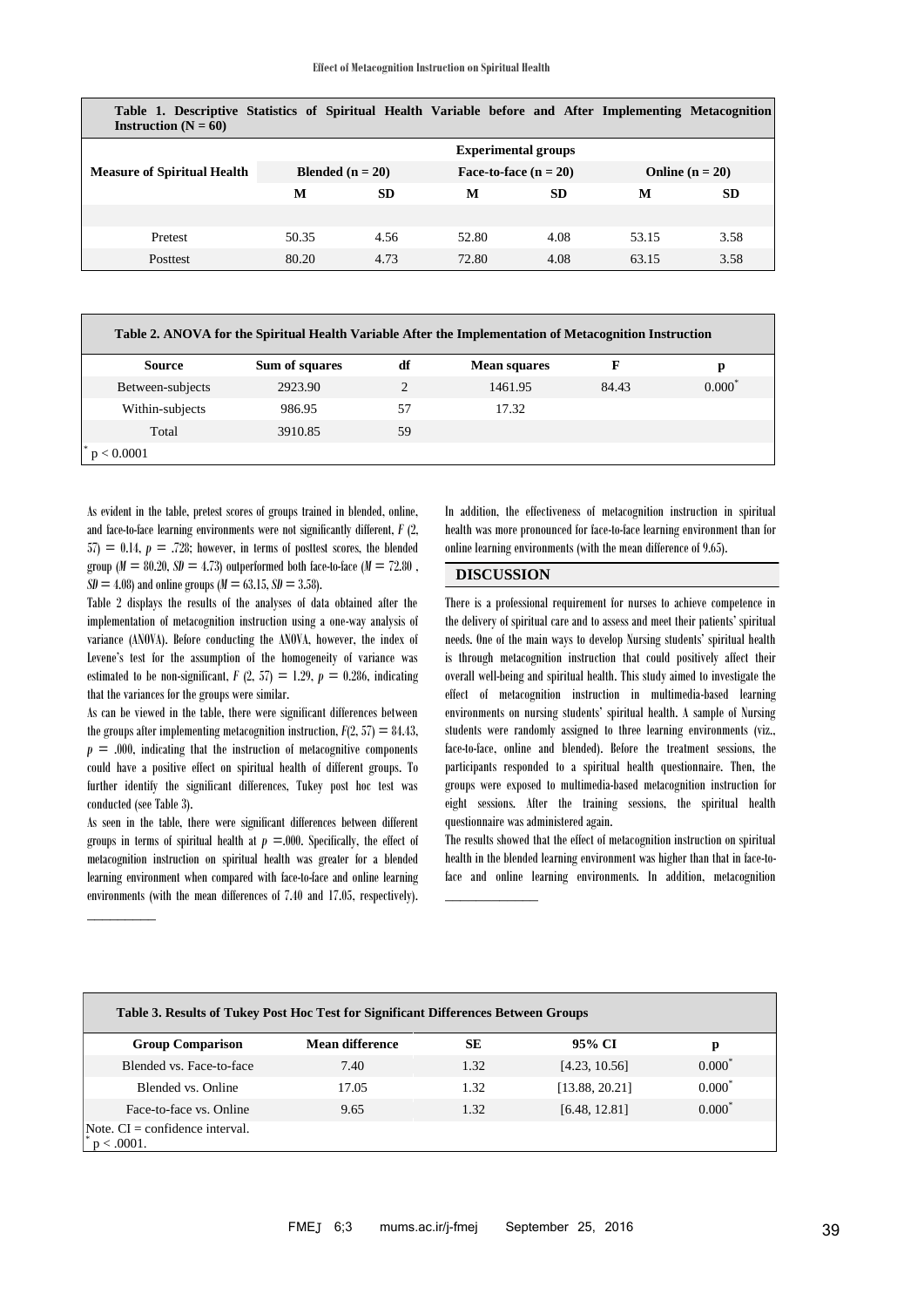**Table 1. Descriptive Statistics of Spiritual Health Variable before and After Implementing Metacognition Instruction**  $(N = 60)$ 

| $\sim$ $\sim$ $\prime$             |                            |           |                         |           |                   |           |  |
|------------------------------------|----------------------------|-----------|-------------------------|-----------|-------------------|-----------|--|
|                                    | <b>Experimental groups</b> |           |                         |           |                   |           |  |
| <b>Measure of Spiritual Health</b> | <b>Blended</b> $(n = 20)$  |           | Face-to-face $(n = 20)$ |           | Online $(n = 20)$ |           |  |
|                                    | М                          | <b>SD</b> | M                       | <b>SD</b> | М                 | <b>SD</b> |  |
|                                    |                            |           |                         |           |                   |           |  |
| Pretest                            | 50.35                      | 4.56      | 52.80                   | 4.08      | 53.15             | 3.58      |  |
| Posttest                           | 80.20                      | 4.73      | 72.80                   | 4.08      | 63.15             | 3.58      |  |

| Table 2. ANOVA for the Spiritual Health Variable After the Implementation of Metacognition Instruction |                |                |                     |       |          |  |  |
|--------------------------------------------------------------------------------------------------------|----------------|----------------|---------------------|-------|----------|--|--|
| <b>Source</b>                                                                                          | Sum of squares | df             | <b>Mean squares</b> | F     | р        |  |  |
| Between-subjects                                                                                       | 2923.90        | $\mathfrak{D}$ | 1461.95             | 84.43 | $0.000*$ |  |  |
| Within-subjects                                                                                        | 986.95         | 57             | 17.32               |       |          |  |  |
| Total                                                                                                  | 3910.85        | 59             |                     |       |          |  |  |
| p < 0.0001                                                                                             |                |                |                     |       |          |  |  |

As evident in the table, pretest scores of groups trained in blended, online, and face-to-face learning environments were not significantly different, *F* (2,  $57 = 0.14$ ,  $p = .728$ ; however, in terms of posttest scores, the blended group ( $M = 80.20$ ,  $SD = 4.73$ ) outperformed both face-to-face ( $M = 72.80$ ).  $SD = 4.08$  and online groups ( $M = 63.15$ ,  $SD = 3.58$ ).

Table 2 displays the results of the analyses of data obtained after the implementation of metacognition instruction using a one-way analysis of variance (ANOVA). Before conducting the ANOVA, however, the index of Levene's test for the assumption of the homogeneity of variance was estimated to be non-significant,  $F(2, 57) = 1.29$ ,  $p = 0.286$ , indicating that the variances for the groups were similar.

As can be viewed in the table, there were significant differences between the groups after implementing metacognition instruction,  $F(2, 57) = 84.43$ ,  $p = .000$ , indicating that the instruction of metacognitive components could have a positive effect on spiritual health of different groups. To further identify the significant differences, Tukey post hoc test was conducted (see Table 3).

As seen in the table, there were significant differences between different groups in terms of spiritual health at  $p = .000$ . Specifically, the effect of metacognition instruction on spiritual health was greater for a blended learning environment when compared with face-to-face and online learning environments (with the mean differences of 7.40 and 17.05, respectively).

 $\overline{\phantom{a}}$  . The contract of  $\overline{\phantom{a}}$ 

In addition, the effectiveness of metacognition instruction in spiritual health was more pronounced for face-to-face learning environment than for online learning environments (with the mean difference of 9.65).

## **DISCUSSION**

\_\_\_\_\_\_\_\_\_\_\_\_

There is a professional requirement for nurses to achieve competence in the delivery of spiritual care and to assess and meet their patients' spiritual needs. One of the main ways to develop Nursing students' spiritual health is through metacognition instruction that could positively affect their overall well-being and spiritual health. This study aimed to investigate the effect of metacognition instruction in multimedia-based learning environments on nursing students' spiritual health. A sample of Nursing students were randomly assigned to three learning environments (viz., face-to-face, online and blended). Before the treatment sessions, the participants responded to a spiritual health questionnaire. Then, the groups were exposed to multimedia-based metacognition instruction for eight sessions. After the training sessions, the spiritual health questionnaire was administered again.

The results showed that the effect of metacognition instruction on spiritual health in the blended learning environment was higher than that in face-toface and online learning environments. In addition, metacognition

| Table 3. Results of Tukey Post Hoc Test for Significant Differences Between Groups |                        |      |                |           |  |  |  |
|------------------------------------------------------------------------------------|------------------------|------|----------------|-----------|--|--|--|
| <b>Group Comparison</b>                                                            | <b>Mean difference</b> | SЕ   | 95% CI         | р         |  |  |  |
| Blended vs. Face-to-face                                                           | 7.40                   | 1.32 | [4.23, 10.56]  | $0.000^*$ |  |  |  |
| Blended vs. Online                                                                 | 17.05                  | 1.32 | [13.88, 20.21] | $0.000*$  |  |  |  |
| Face-to-face vs. Online                                                            | 9.65                   | 1.32 | [6.48, 12.81]  | $0.000^*$ |  |  |  |
| Note. $CI =$ confidence interval.<br>$p < .0001$ .                                 |                        |      |                |           |  |  |  |